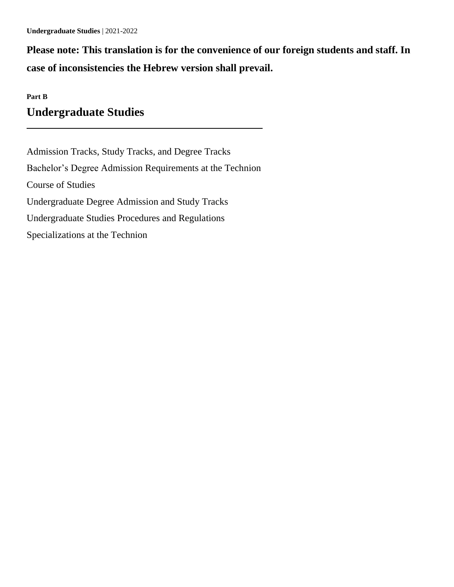**Please note: This translation is for the convenience of our foreign students and staff. In case of inconsistencies the Hebrew version shall prevail.**

# **Part B Undergraduate Studies**

Admission Tracks, Study Tracks, and Degree Tracks Bachelor's Degree Admission Requirements at the Technion Course of Studies Undergraduate Degree Admission and Study Tracks Undergraduate Studies Procedures and Regulations Specializations at the Technion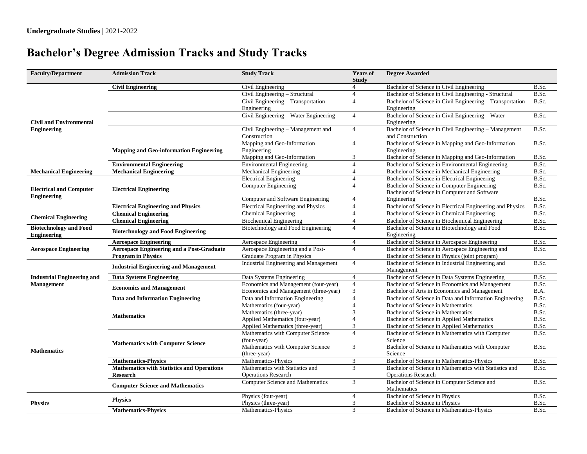# **Bachelor's Degree Admission Tracks and Study Tracks**

| <b>Faculty/Department</b>                            | <b>Admission Track</b>                            | <b>Study Track</b>                                 | <b>Years of</b><br><b>Study</b> | <b>Degree Awarded</b>                                                                       |                                   |
|------------------------------------------------------|---------------------------------------------------|----------------------------------------------------|---------------------------------|---------------------------------------------------------------------------------------------|-----------------------------------|
| <b>Civil and Environmental</b><br><b>Engineering</b> | <b>Civil Engineering</b>                          | Civil Engineering                                  | $\overline{4}$                  | Bachelor of Science in Civil Engineering                                                    | B.Sc.                             |
|                                                      |                                                   | Civil Engineering - Structural                     | $\overline{4}$                  | Bachelor of Science in Civil Engineering - Structural                                       | B.Sc.                             |
|                                                      |                                                   | Civil Engineering - Transportation                 | $\overline{4}$                  | Bachelor of Science in Civil Engineering - Transportation                                   | B.Sc.                             |
|                                                      |                                                   | Engineering                                        |                                 | Engineering                                                                                 |                                   |
|                                                      |                                                   | Civil Engineering - Water Engineering              | $\overline{4}$                  | Bachelor of Science in Civil Engineering - Water<br>Engineering                             | B.Sc.                             |
|                                                      |                                                   | Civil Engineering - Management and<br>Construction | $\overline{4}$                  | Bachelor of Science in Civil Engineering - Management<br>and Construction                   | B.Sc.                             |
|                                                      | <b>Mapping and Geo-information Engineering</b>    | Mapping and Geo-Information<br>Engineering         | $\overline{4}$                  | Bachelor of Science in Mapping and Geo-Information<br>Engineering                           | B.Sc.                             |
|                                                      |                                                   | Mapping and Geo-Information                        | 3                               | Bachelor of Science in Mapping and Geo-Information                                          | B.Sc.                             |
|                                                      | <b>Environmental Engineering</b>                  | <b>Environmental Engineering</b>                   | $\overline{4}$                  | Bachelor of Science in Environmental Engineering                                            | B.Sc.                             |
| <b>Mechanical Engineering</b>                        | <b>Mechanical Engineering</b>                     | Mechanical Engineering                             | $\overline{4}$                  | Bachelor of Science in Mechanical Engineering                                               | B.Sc.                             |
| <b>Electrical and Computer</b><br><b>Engineering</b> | <b>Electrical Engineering</b>                     | <b>Electrical Engineering</b>                      | $\overline{4}$                  | Bachelor of Science in Electrical Engineering                                               | B.Sc.                             |
|                                                      |                                                   | <b>Computer Engineering</b>                        | $\overline{4}$                  | Bachelor of Science in Computer Engineering<br>Bachelor of Science in Computer and Software | B.Sc.                             |
|                                                      |                                                   | Computer and Software Engineering                  | $\overline{4}$                  | Engineering                                                                                 | B.Sc.                             |
|                                                      | <b>Electrical Engineering and Physics</b>         | <b>Electrical Engineering and Physics</b>          | $\overline{4}$                  | Bachelor of Science in Electrical Engineering and Physics                                   | B.Sc.                             |
| <b>Chemical Engineering</b>                          | <b>Chemical Engineering</b>                       | <b>Chemical Engineering</b>                        | $\overline{4}$                  | Bachelor of Science in Chemical Engineering                                                 | B.Sc.                             |
|                                                      | <b>Chemical Engineering</b>                       | <b>Biochemical Engineering</b>                     | $\overline{4}$                  | Bachelor of Science in Biochemical Engineering                                              | B.Sc.                             |
| <b>Biotechnology and Food</b><br><b>Engineering</b>  | <b>Biotechnology and Food Engineering</b>         | Biotechnology and Food Engineering                 | $\overline{4}$                  | Bachelor of Science in Biotechnology and Food<br>Engineering                                | B.Sc.                             |
| <b>Aerospace Engineering</b>                         | <b>Aerospace Engineering</b>                      | Aerospace Engineering                              | $\overline{4}$                  | Bachelor of Science in Aerospace Engineering                                                | B.Sc.                             |
|                                                      | <b>Aerospace Engineering and a Post-Graduate</b>  | Aerospace Engineering and a Post-                  | $\overline{4}$                  | Bachelor of Science in Aerospace Engineering and                                            | B.Sc.                             |
|                                                      | <b>Program in Physics</b>                         | Graduate Program in Physics                        |                                 | Bachelor of Science in Physics (joint program)                                              |                                   |
|                                                      | <b>Industrial Engineering and Management</b>      | Industrial Engineering and Management              | $\overline{4}$                  | Bachelor of Science in Industrial Engineering and<br>Management                             | B.Sc.                             |
| <b>Industrial Engineering and</b>                    | <b>Data Systems Engineering</b>                   | Data Systems Engineering                           | $\overline{4}$                  | Bachelor of Science in Data Systems Engineering                                             | B.Sc.                             |
| <b>Management</b>                                    | <b>Economics and Management</b>                   | Economics and Management (four-year)               | $\overline{4}$                  | Bachelor of Science in Economics and Management                                             | $\overline{\text{B}.\text{Sc}}$ . |
|                                                      |                                                   | Economics and Management (three-year)              | 3                               | Bachelor of Arts in Economics and Management                                                | B.A.                              |
|                                                      | Data and Information Engineering                  | Data and Information Engineering                   | $\overline{4}$                  | Bachelor of Science in Data and Information Engineering                                     | B.Sc.                             |
| <b>Mathematics</b>                                   | <b>Mathematics</b>                                | Mathematics (four-year)                            | $\overline{4}$                  | Bachelor of Science in Mathematics                                                          | B.Sc.                             |
|                                                      |                                                   | Mathematics (three-year)                           | 3                               | Bachelor of Science in Mathematics                                                          | B.Sc.                             |
|                                                      |                                                   | Applied Mathematics (four-year)                    | $\overline{4}$                  | Bachelor of Science in Applied Mathematics                                                  | B.Sc.                             |
|                                                      |                                                   | Applied Mathematics (three-year)                   | 3                               | Bachelor of Science in Applied Mathematics                                                  | B.Sc.                             |
|                                                      | <b>Mathematics with Computer Science</b>          | Mathematics with Computer Science<br>(four-year)   | $\overline{4}$                  | Bachelor of Science in Mathematics with Computer<br>Science                                 | B.Sc.                             |
|                                                      |                                                   | Mathematics with Computer Science<br>(three-year)  | 3                               | Bachelor of Science in Mathematics with Computer<br>Science                                 | B.Sc.                             |
|                                                      | <b>Mathematics-Physics</b>                        | Mathematics-Physics                                | $\sqrt{3}$                      | Bachelor of Science in Mathematics-Physics                                                  | B.Sc.                             |
|                                                      | <b>Mathematics with Statistics and Operations</b> | Mathematics with Statistics and                    | $\overline{3}$                  | Bachelor of Science in Mathematics with Statistics and                                      | B.Sc.                             |
|                                                      | <b>Research</b>                                   | <b>Operations Research</b>                         |                                 | <b>Operations Research</b>                                                                  |                                   |
|                                                      | <b>Computer Science and Mathematics</b>           | <b>Computer Science and Mathematics</b>            | $\mathfrak{Z}$                  | Bachelor of Science in Computer Science and<br>Mathematics                                  | B.Sc.                             |
| <b>Physics</b>                                       | <b>Physics</b>                                    | Physics (four-year)                                | $\overline{4}$                  | Bachelor of Science in Physics                                                              | B.Sc.                             |
|                                                      |                                                   | Physics (three-year)                               | $\mathfrak{Z}$                  | Bachelor of Science in Physics                                                              | B.Sc.                             |
|                                                      | <b>Mathematics-Physics</b>                        | Mathematics-Physics                                | 3                               | Bachelor of Science in Mathematics-Physics                                                  | B.Sc.                             |
|                                                      |                                                   |                                                    |                                 |                                                                                             |                                   |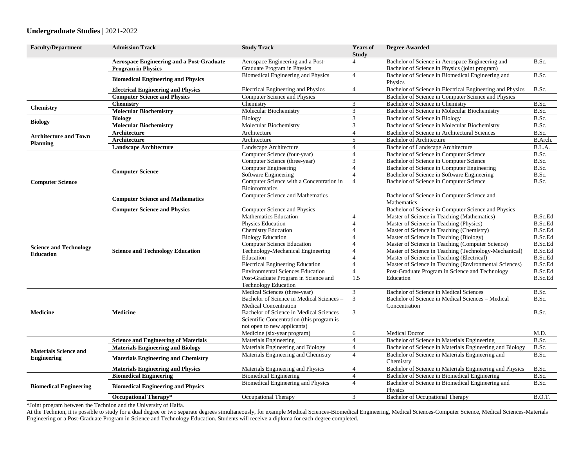| <b>Faculty/Department</b>                          | <b>Admission Track</b>                                                 | <b>Study Track</b>                                                              | <b>Years of</b><br><b>Study</b>  | <b>Degree Awarded</b>                                                                              |                                  |
|----------------------------------------------------|------------------------------------------------------------------------|---------------------------------------------------------------------------------|----------------------------------|----------------------------------------------------------------------------------------------------|----------------------------------|
|                                                    | Aerospace Engineering and a Post-Graduate<br><b>Program in Physics</b> | Aerospace Engineering and a Post-<br>Graduate Program in Physics                | $\overline{4}$                   | Bachelor of Science in Aerospace Engineering and<br>Bachelor of Science in Physics (joint program) | B.Sc.                            |
|                                                    | <b>Biomedical Engineering and Physics</b>                              | Biomedical Engineering and Physics                                              | $\overline{4}$                   | Bachelor of Science in Biomedical Engineering and<br>Physics                                       | B.Sc.                            |
|                                                    | <b>Electrical Engineering and Physics</b>                              | Electrical Engineering and Physics                                              | $\overline{4}$                   | Bachelor of Science in Electrical Engineering and Physics                                          | B.Sc.                            |
|                                                    | <b>Computer Science and Physics</b>                                    | Computer Science and Physics                                                    |                                  | Bachelor of Science in Computer Science and Physics                                                |                                  |
| <b>Chemistry</b>                                   | <b>Chemistry</b>                                                       | Chemistry                                                                       | 3                                | Bachelor of Science in Chemistry                                                                   | B.Sc.                            |
|                                                    | <b>Molecular Biochemistry</b>                                          | <b>Molecular Biochemistry</b>                                                   | 3                                | Bachelor of Science in Molecular Biochemistry                                                      | B.Sc.                            |
| <b>Biology</b>                                     | <b>Biology</b>                                                         | Biology                                                                         | 3                                | Bachelor of Science in Biology                                                                     | B.Sc.                            |
|                                                    | <b>Molecular Biochemistry</b>                                          | Molecular Biochemistry                                                          | $\mathfrak{Z}$                   | Bachelor of Science in Molecular Biochemistry                                                      | B.Sc.                            |
| <b>Architecture and Town</b><br>Planning           | Architecture                                                           | Architecture                                                                    | $\overline{4}$                   | Bachelor of Science in Architectural Sciences                                                      | B.Sc.                            |
|                                                    | Architecture                                                           | Architecture                                                                    | 5                                | <b>Bachelor of Architecture</b>                                                                    | B.Arch.                          |
|                                                    | <b>Landscape Architecture</b>                                          | Landscape Architecture                                                          | $\overline{4}$                   | Bachelor of Landscape Architecture                                                                 | B.L.A.                           |
|                                                    | <b>Computer Science</b>                                                | Computer Science (four-year)                                                    | $\overline{4}$                   | Bachelor of Science in Computer Science                                                            | B.Sc.                            |
|                                                    |                                                                        | Computer Science (three-year)                                                   | 3                                | Bachelor of Science in Computer Science                                                            | B.Sc.                            |
|                                                    |                                                                        | Computer Engineering                                                            | $\overline{4}$                   | Bachelor of Science in Computer Engineering                                                        | B.Sc.                            |
|                                                    |                                                                        | Software Engineering                                                            | $\overline{\mathbf{A}}$          | Bachelor of Science in Software Engineering                                                        | B.Sc.                            |
| <b>Computer Science</b>                            |                                                                        | Computer Science with a Concentration in<br><b>Bioinformatics</b>               | $\overline{4}$                   | Bachelor of Science in Computer Science                                                            | B.Sc.                            |
|                                                    | <b>Computer Science and Mathematics</b>                                | Computer Science and Mathematics                                                |                                  | Bachelor of Science in Computer Science and<br>Mathematics                                         |                                  |
|                                                    | <b>Computer Science and Physics</b>                                    | <b>Computer Science and Physics</b>                                             |                                  | Bachelor of Science in Computer Science and Physics                                                |                                  |
| <b>Science and Technology</b><br><b>Education</b>  | <b>Science and Technology Education</b>                                | <b>Mathematics Education</b>                                                    | $\overline{4}$                   | Master of Science in Teaching (Mathematics)                                                        | <b>B.Sc.Ed</b>                   |
|                                                    |                                                                        | <b>Physics Education</b>                                                        | $\overline{4}$                   | Master of Science in Teaching (Physics)                                                            | B.Sc.Ed                          |
|                                                    |                                                                        | <b>Chemistry Education</b>                                                      | $\overline{4}$                   | Master of Science in Teaching (Chemistry)                                                          | <b>B.Sc.Ed</b>                   |
|                                                    |                                                                        | <b>Biology Education</b>                                                        | $\overline{4}$                   | Master of Science in Teaching (Biology)                                                            | <b>B.Sc.Ed</b>                   |
|                                                    |                                                                        | <b>Computer Science Education</b>                                               | $\overline{4}$                   | Master of Science in Teaching (Computer Science)                                                   | <b>B.Sc.Ed</b>                   |
|                                                    |                                                                        | Technology-Mechanical Engineering                                               | $\overline{4}$                   | Master of Science in Teaching (Technology-Mechanical)                                              | <b>B.Sc.Ed</b>                   |
|                                                    |                                                                        | Education                                                                       | $\overline{4}$                   | Master of Science in Teaching (Electrical)                                                         | <b>B.Sc.Ed</b>                   |
|                                                    |                                                                        | <b>Electrical Engineering Education</b>                                         | $\overline{4}$<br>$\overline{4}$ | Master of Science in Teaching (Environmental Sciences)                                             | <b>B.Sc.Ed</b><br><b>B.Sc.Ed</b> |
|                                                    |                                                                        | <b>Environmental Sciences Education</b><br>Post-Graduate Program in Science and | 1.5                              | Post-Graduate Program in Science and Technology<br>Education                                       | <b>B.Sc.Ed</b>                   |
|                                                    |                                                                        | <b>Technology Education</b>                                                     |                                  |                                                                                                    |                                  |
| Medicine                                           | <b>Medicine</b>                                                        | Medical Sciences (three-year)                                                   | 3                                | Bachelor of Science in Medical Sciences                                                            | B.Sc.                            |
|                                                    |                                                                        | Bachelor of Science in Medical Sciences -                                       | 3                                | Bachelor of Science in Medical Sciences - Medical                                                  | B.Sc.                            |
|                                                    |                                                                        | <b>Medical Concentration</b>                                                    |                                  | Concentration                                                                                      |                                  |
|                                                    |                                                                        | Bachelor of Science in Medical Sciences -                                       | 3                                |                                                                                                    | B.Sc.                            |
|                                                    |                                                                        | Scientific Concentration (this program is                                       |                                  |                                                                                                    |                                  |
|                                                    |                                                                        | not open to new applicants)                                                     |                                  |                                                                                                    |                                  |
|                                                    |                                                                        | Medicine (six-year program)                                                     | 6                                | <b>Medical Doctor</b>                                                                              | M.D.                             |
|                                                    | <b>Science and Engineering of Materials</b>                            | Materials Engineering                                                           | $\overline{4}$                   | Bachelor of Science in Materials Engineering                                                       | B.Sc.                            |
| <b>Materials Science and</b><br><b>Engineering</b> | <b>Materials Engineering and Biology</b>                               | Materials Engineering and Biology                                               | $\overline{4}$                   | Bachelor of Science in Materials Engineering and Biology                                           | B.Sc.                            |
|                                                    | <b>Materials Engineering and Chemistry</b>                             | Materials Engineering and Chemistry                                             | $\overline{4}$                   | Bachelor of Science in Materials Engineering and<br>Chemistry                                      | B.Sc.                            |
|                                                    | <b>Materials Engineering and Physics</b>                               | Materials Engineering and Physics                                               | $\overline{4}$                   | Bachelor of Science in Materials Engineering and Physics                                           | B.Sc.                            |
| <b>Biomedical Engineering</b>                      | <b>Biomedical Engineering</b>                                          | <b>Biomedical Engineering</b>                                                   | $\overline{4}$                   | Bachelor of Science in Biomedical Engineering                                                      | B.Sc.                            |
|                                                    | <b>Biomedical Engineering and Physics</b>                              | Biomedical Engineering and Physics                                              | $\overline{4}$                   | Bachelor of Science in Biomedical Engineering and<br>Physics                                       | B.Sc.                            |
|                                                    | <b>Occupational Therapy*</b>                                           | Occupational Therapy                                                            | 3                                | <b>Bachelor of Occupational Therapy</b>                                                            | B.O.T.                           |
|                                                    |                                                                        |                                                                                 |                                  |                                                                                                    |                                  |

\*Joint program between the Technion and the University of Haifa.

At the Technion, it is possible to study for a dual degree or two separate degrees simultaneously, for example Medical Sciences-Biomedical Engineering, Medical Sciences-Computer Science, Medical Sciences-Materials Engineering or a Post-Graduate Program in Science and Technology Education. Students will receive a diploma for each degree completed.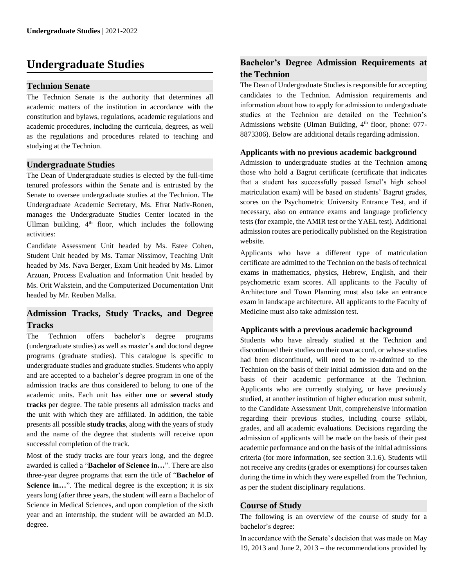# **Undergraduate Studies**

## **Technion Senate**

The Technion Senate is the authority that determines all academic matters of the institution in accordance with the constitution and bylaws, regulations, academic regulations and academic procedures, including the curricula, degrees, as well as the regulations and procedures related to teaching and studying at the Technion.

## **Undergraduate Studies**

The Dean of Undergraduate studies is elected by the full-time tenured professors within the Senate and is entrusted by the Senate to oversee undergraduate studies at the Technion. The Undergraduate Academic Secretary, Ms. Efrat Nativ-Ronen, manages the Undergraduate Studies Center located in the Ullman building, 4<sup>th</sup> floor, which includes the following activities:

Candidate Assessment Unit headed by Ms. Estee Cohen, Student Unit headed by Ms. Tamar Nissimov, Teaching Unit headed by Ms. Nava Berger, Exam Unit headed by Ms. Limor Arzuan, Process Evaluation and Information Unit headed by Ms. Orit Wakstein, and the Computerized Documentation Unit headed by Mr. Reuben Malka.

# **Admission Tracks, Study Tracks, and Degree Tracks**

The Technion offers bachelor's degree programs (undergraduate studies) as well as master's and doctoral degree programs (graduate studies). This catalogue is specific to undergraduate studies and graduate studies. Students who apply and are accepted to a bachelor's degree program in one of the admission tracks are thus considered to belong to one of the academic units. Each unit has either **one** or **several study tracks** per degree. The table presents all admission tracks and the unit with which they are affiliated. In addition, the table presents all possible **study tracks**, along with the years of study and the name of the degree that students will receive upon successful completion of the track.

Most of the study tracks are four years long, and the degree awarded is called a "**Bachelor of Science in…**". There are also three-year degree programs that earn the title of "**Bachelor of Science in...**". The medical degree is the exception; it is six years long (after three years, the student will earn a Bachelor of Science in Medical Sciences, and upon completion of the sixth year and an internship, the student will be awarded an M.D. degree.

# **Bachelor's Degree Admission Requirements at the Technion**

The Dean of Undergraduate Studies is responsible for accepting candidates to the Technion. Admission requirements and information about how to apply for admission to undergraduate studies at the Technion are detailed on the Technion's Admissions website (Ulman Building,  $4<sup>th</sup>$  floor, phone: 077-8873306). Below are additional details regarding admission.

## **Applicants with no previous academic background**

Admission to undergraduate studies at the Technion among those who hold a Bagrut certificate (certificate that indicates that a student has successfully passed Israel's high school matriculation exam) will be based on students' Bagrut grades, scores on the Psychometric University Entrance Test, and if necessary, also on entrance exams and language proficiency tests (for example, the AMIR test or the YAEL test). Additional admission routes are periodically published on the Registration website.

Applicants who have a different type of matriculation certificate are admitted to the Technion on the basis of technical exams in mathematics, physics, Hebrew, English, and their psychometric exam scores. All applicants to the Faculty of Architecture and Town Planning must also take an entrance exam in landscape architecture. All applicants to the Faculty of Medicine must also take admission test.

## **Applicants with a previous academic background**

Students who have already studied at the Technion and discontinued their studies on their own accord, or whose studies had been discontinued, will need to be re-admitted to the Technion on the basis of their initial admission data and on the basis of their academic performance at the Technion. Applicants who are currently studying, or have previously studied, at another institution of higher education must submit, to the Candidate Assessment Unit, comprehensive information regarding their previous studies, including course syllabi, grades, and all academic evaluations. Decisions regarding the admission of applicants will be made on the basis of their past academic performance and on the basis of the initial admissions criteria (for more information, see section 3.1.6). Students will not receive any credits (grades or exemptions) for courses taken during the time in which they were expelled from the Technion, as per the student disciplinary regulations.

## **Course of Study**

The following is an overview of the course of study for a bachelor's degree:

In accordance with the Senate's decision that was made on May 19, 2013 and June 2, 2013 – the recommendations provided by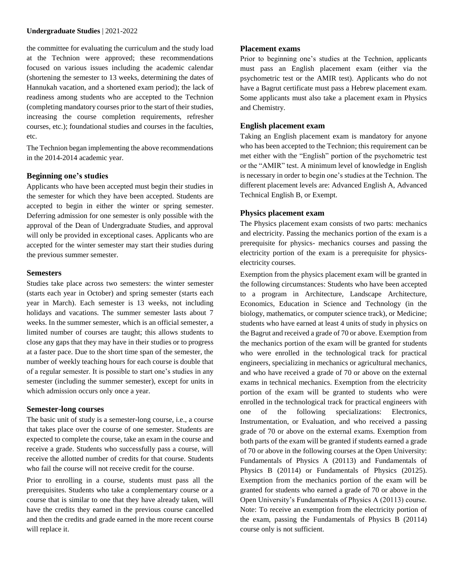the committee for evaluating the curriculum and the study load at the Technion were approved; these recommendations focused on various issues including the academic calendar (shortening the semester to 13 weeks, determining the dates of Hannukah vacation, and a shortened exam period); the lack of readiness among students who are accepted to the Technion (completing mandatory courses prior to the start of their studies, increasing the course completion requirements, refresher courses, etc.); foundational studies and courses in the faculties, etc.

The Technion began implementing the above recommendations in the 2014-2014 academic year.

#### **Beginning one's studies**

Applicants who have been accepted must begin their studies in the semester for which they have been accepted. Students are accepted to begin in either the winter or spring semester. Deferring admission for one semester is only possible with the approval of the Dean of Undergraduate Studies, and approval will only be provided in exceptional cases. Applicants who are accepted for the winter semester may start their studies during the previous summer semester.

#### **Semesters**

Studies take place across two semesters: the winter semester (starts each year in October) and spring semester (starts each year in March). Each semester is 13 weeks, not including holidays and vacations. The summer semester lasts about 7 weeks. In the summer semester, which is an official semester, a limited number of courses are taught; this allows students to close any gaps that they may have in their studies or to progress at a faster pace. Due to the short time span of the semester, the number of weekly teaching hours for each course is double that of a regular semester. It is possible to start one's studies in any semester (including the summer semester), except for units in which admission occurs only once a year.

#### **Semester-long courses**

The basic unit of study is a semester-long course, i.e., a course that takes place over the course of one semester. Students are expected to complete the course, take an exam in the course and receive a grade. Students who successfully pass a course, will receive the allotted number of credits for that course. Students who fail the course will not receive credit for the course.

Prior to enrolling in a course, students must pass all the prerequisites. Students who take a complementary course or a course that is similar to one that they have already taken, will have the credits they earned in the previous course cancelled and then the credits and grade earned in the more recent course will replace it.

## **Placement exams**

Prior to beginning one's studies at the Technion, applicants must pass an English placement exam (either via the psychometric test or the AMIR test). Applicants who do not have a Bagrut certificate must pass a Hebrew placement exam. Some applicants must also take a placement exam in Physics and Chemistry.

## **English placement exam**

Taking an English placement exam is mandatory for anyone who has been accepted to the Technion; this requirement can be met either with the "English" portion of the psychometric test or the "AMIR" test. A minimum level of knowledge in English is necessary in order to begin one's studies at the Technion. The different placement levels are: Advanced English A, Advanced Technical English B, or Exempt.

## **Physics placement exam**

The Physics placement exam consists of two parts: mechanics and electricity. Passing the mechanics portion of the exam is a prerequisite for physics- mechanics courses and passing the electricity portion of the exam is a prerequisite for physicselectricity courses.

Exemption from the physics placement exam will be granted in the following circumstances: Students who have been accepted to a program in Architecture, Landscape Architecture, Economics, Education in Science and Technology (in the biology, mathematics, or computer science track), or Medicine; students who have earned at least 4 units of study in physics on the Bagrut and received a grade of 70 or above. Exemption from the mechanics portion of the exam will be granted for students who were enrolled in the technological track for practical engineers, specializing in mechanics or agricultural mechanics, and who have received a grade of 70 or above on the external exams in technical mechanics. Exemption from the electricity portion of the exam will be granted to students who were enrolled in the technological track for practical engineers with one of the following specializations: Electronics, Instrumentation, or Evaluation, and who received a passing grade of 70 or above on the external exams. Exemption from both parts of the exam will be granted if students earned a grade of 70 or above in the following courses at the Open University: Fundamentals of Physics A (20113) and Fundamentals of Physics B (20114) or Fundamentals of Physics (20125). Exemption from the mechanics portion of the exam will be granted for students who earned a grade of 70 or above in the Open University's Fundamentals of Physics A (20113) course. Note: To receive an exemption from the electricity portion of the exam, passing the Fundamentals of Physics B (20114) course only is not sufficient.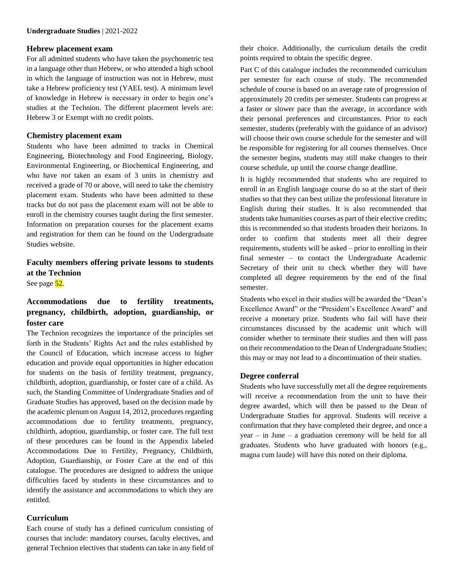#### **Hebrew placement exam**

For all admitted students who have taken the psychometric test in a language other than Hebrew, or who attended a high school in which the language of instruction was not in Hebrew, must take a Hebrew proficiency test (YAEL test). A minimum level of knowledge in Hebrew is necessary in order to begin one's studies at the Technion. The different placement levels are: Hebrew 3 or Exempt with no credit points.

## **Chemistry placement exam**

Students who have been admitted to tracks in Chemical Engineering, Biotechnology and Food Engineering, Biology, Environmental Engineering, or Biochemical Engineering, and who have *not* taken an exam of 3 units in chemistry and received a grade of 70 or above, will need to take the chemistry placement exam. Students who have been admitted to these tracks but do not pass the placement exam will not be able to enroll in the chemistry courses taught during the first semester. Information on preparation courses for the placement exams and registration for them can be found on the Undergraduate Studies website.

# **Faculty members offering private lessons to students at the Technion**

See page 52.

# **Accommodations due to fertility treatments, pregnancy, childbirth, adoption, guardianship, or foster care**

The Technion recognizes the importance of the principles set forth in the Students' Rights Act and the rules established by the Council of Education, which increase access to higher education and provide equal opportunities in higher education for students on the basis of fertility treatment, pregnancy, childbirth, adoption, guardianship, or foster care of a child. As such, the Standing Committee of Undergraduate Studies and of Graduate Studies has approved, based on the decision made by the academic plenum on August 14, 2012, procedures regarding accommodations due to fertility treatments, pregnancy, childbirth, adoption, guardianship, or foster care. The full text of these procedures can be found in the Appendix labeled Accommodations Due to Fertility, Pregnancy, Childbirth, Adoption, Guardianship, or Foster Care at the end of this catalogue. The procedures are designed to address the unique difficulties faced by students in these circumstances and to identify the assistance and accommodations to which they are entitled.

## **Curriculum**

Each course of study has a defined curriculum consisting of courses that include: mandatory courses, faculty electives, and general Technion electives that students can take in any field of their choice. Additionally, the curriculum details the credit points required to obtain the specific degree.

Part C of this catalogue includes the recommended curriculum per semester for each course of study. The recommended schedule of course is based on an average rate of progression of approximately 20 credits per semester. Students can progress at a faster or slower pace than the average, in accordance with their personal preferences and circumstances. Prior to each semester, students (preferably with the guidance of an advisor) will choose their own course schedule for the semester and will be responsible for registering for all courses themselves. Once the semester begins, students may still make changes to their course schedule, up until the course change deadline.

It is highly recommended that students who are required to enroll in an English language course do so at the start of their studies so that they can best utilize the professional literature in English during their studies. It is also recommended that students take humanities courses as part of their elective credits; this is recommended so that students broaden their horizons. In order to confirm that students meet all their degree requirements, students will be asked – prior to enrolling in their final semester – to contact the Undergraduate Academic Secretary of their unit to check whether they will have completed all degree requirements by the end of the final semester.

Students who excel in their studies will be awarded the "Dean's Excellence Award" or the "President's Excellence Award" and receive a monetary prize. Students who fail will have their circumstances discussed by the academic unit which will consider whether to terminate their studies and then will pass on their recommendation to the Dean of Undergraduate Studies; this may or may not lead to a discontinuation of their studies.

## **Degree conferral**

Students who have successfully met all the degree requirements will receive a recommendation from the unit to have their degree awarded, which will then be passed to the Dean of Undergraduate Studies for approval. Students will receive a confirmation that they have completed their degree, and once a year – in June – a graduation ceremony will be held for all graduates. Students who have graduated with honors (e.g., magna cum laude) will have this noted on their diploma.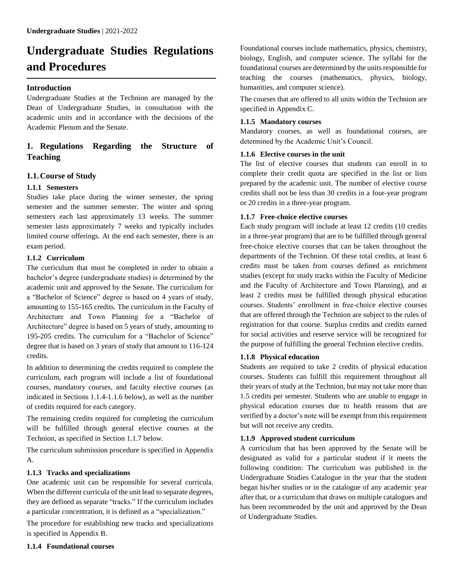# **Undergraduate Studies Regulations and Procedures**

## **Introduction**

Undergraduate Studies at the Technion are managed by the Dean of Undergraduate Studies, in consultation with the academic units and in accordance with the decisions of the Academic Plenum and the Senate.

# **1. Regulations Regarding the Structure of Teaching**

## **1.1.Course of Study**

## **1.1.1 Semesters**

Studies take place during the winter semester, the spring semester and the summer semester. The winter and spring semesters each last approximately 13 weeks. The summer semester lasts approximately 7 weeks and typically includes limited course offerings. At the end each semester, there is an exam period.

## **1.1.2 Curriculum**

The curriculum that must be completed in order to obtain a bachelor's degree (undergraduate studies) is determined by the academic unit and approved by the Senate. The curriculum for a "Bachelor of Science" degree is based on 4 years of study, amounting to 155-165 credits. The curriculum in the Faculty of Architecture and Town Planning for a "Bachelor of Architecture" degree is based on 5 years of study, amounting to 195-205 credits. The curriculum for a "Bachelor of Science" degree that is based on 3 years of study that amount to 116-124 credits.

In addition to determining the credits required to complete the curriculum, each program will include a list of foundational courses, mandatory courses, and faculty elective courses (as indicated in Sections 1.1.4-1.1.6 below), as well as the number of credits required for each category.

The remaining credits required for completing the curriculum will be fulfilled through general elective courses at the Technion, as specified in Section 1.1.7 below.

The curriculum submission procedure is specified in Appendix A.

## **1.1.3 Tracks and specializations**

One academic unit can be responsible for several curricula. When the different curricula of the unit lead to separate degrees, they are defined as separate "tracks." If the curriculum includes a particular concentration, it is defined as a "specialization."

The procedure for establishing new tracks and specializations is specified in Appendix B.

Foundational courses include mathematics, physics, chemistry, biology, English, and computer science. The syllabi for the foundational courses are determined by the units responsible for teaching the courses (mathematics, physics, biology, humanities, and computer science).

The courses that are offered to all units within the Technion are specified in Appendix C.

## **1.1.5 Mandatory courses**

Mandatory courses, as well as foundational courses, are determined by the Academic Unit's Council.

## **1.1.6 Elective courses in the unit**

The list of elective courses that students can enroll in to complete their credit quota are specified in the list or lists prepared by the academic unit. The number of elective course credits shall not be less than 30 credits in a four-year program or 20 credits in a three-year program.

## **1.1.7 Free-choice elective courses**

Each study program will include at least 12 credits (10 credits in a three-year program) that are to be fulfilled through general free-choice elective courses that can be taken throughout the departments of the Technion. Of these total credits, at least 6 credits must be taken from courses defined as enrichment studies (except for study tracks within the Faculty of Medicine and the Faculty of Architecture and Town Planning), and at least 2 credits must be fulfilled through physical education courses. Students' enrollment in free-choice elective courses that are offered through the Technion are subject to the rules of registration for that course. Surplus credits and credits earned for social activities and reserve service will be recognized for the purpose of fulfilling the general Technion elective credits.

## **1.1.8 Physical education**

Students are required to take 2 credits of physical education courses. Students can fulfill this requirement throughout all their years of study at the Technion, but may not take more than 1.5 credits per semester. Students who are unable to engage in physical education courses due to health reasons that are verified by a doctor's note will be exempt from this requirement but will not receive any credits.

## **1.1.9 Approved student curriculum**

A curriculum that has been approved by the Senate will be designated as valid for a particular student if it meets the following condition: The curriculum was published in the Undergraduate Studies Catalogue in the year that the student began his/her studies or in the catalogue of any academic year after that, or a curriculum that draws on multiple catalogues and has been recommended by the unit and approved by the Dean of Undergraduate Studies.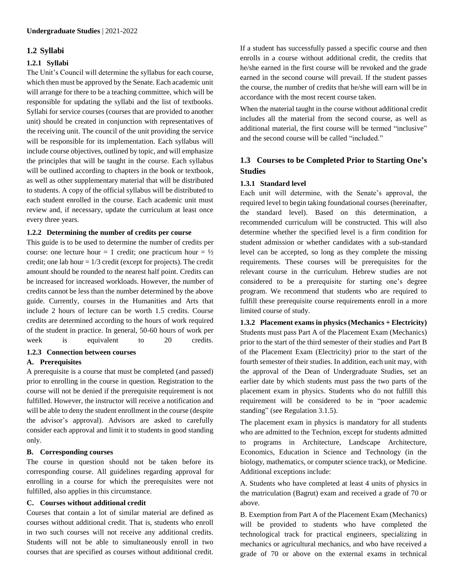## **1.2 Syllabi**

## **1.2.1 Syllabi**

The Unit's Council will determine the syllabus for each course, which then must be approved by the Senate. Each academic unit will arrange for there to be a teaching committee, which will be responsible for updating the syllabi and the list of textbooks. Syllabi for service courses (courses that are provided to another unit) should be created in conjunction with representatives of the receiving unit. The council of the unit providing the service will be responsible for its implementation. Each syllabus will include course objectives, outlined by topic, and will emphasize the principles that will be taught in the course. Each syllabus will be outlined according to chapters in the book or textbook, as well as other supplementary material that will be distributed to students. A copy of the official syllabus will be distributed to each student enrolled in the course. Each academic unit must review and, if necessary, update the curriculum at least once every three years.

## **1.2.2 Determining the number of credits per course**

This guide is to be used to determine the number of credits per course: one lecture hour = 1 credit; one practicum hour =  $\frac{1}{2}$ credit; one lab hour  $= 1/3$  credit (except for projects). The credit amount should be rounded to the nearest half point. Credits can be increased for increased workloads. However, the number of credits cannot be less than the number determined by the above guide. Currently, courses in the Humanities and Arts that include 2 hours of lecture can be worth 1.5 credits. Course credits are determined according to the hours of work required of the student in practice. In general, 50-60 hours of work per week is equivalent to 20 credits.

## **1.2.3 Connection between courses**

#### **A. Prerequisites**

A prerequisite is a course that must be completed (and passed) prior to enrolling in the course in question. Registration to the course will not be denied if the prerequisite requirement is not fulfilled. However, the instructor will receive a notification and will be able to deny the student enrollment in the course (despite the advisor's approval). Advisors are asked to carefully consider each approval and limit it to students in good standing only.

#### **B. Corresponding courses**

The course in question should not be taken before its corresponding course. All guidelines regarding approval for enrolling in a course for which the prerequisites were not fulfilled, also applies in this circumstance.

## **C. Courses without additional credit**

Courses that contain a lot of similar material are defined as courses without additional credit. That is, students who enroll in two such courses will not receive any additional credits. Students will not be able to simultaneously enroll in two courses that are specified as courses without additional credit. If a student has successfully passed a specific course and then enrolls in a course without additional credit, the credits that he/she earned in the first course will be revoked and the grade earned in the second course will prevail. If the student passes the course, the number of credits that he/she will earn will be in accordance with the most recent course taken.

When the material taught in the course without additional credit includes all the material from the second course, as well as additional material, the first course will be termed "inclusive" and the second course will be called "included."

# **1.3 Courses to be Completed Prior to Starting One's Studies**

## **1.3.1 Standard level**

Each unit will determine, with the Senate's approval, the required level to begin taking foundational courses (hereinafter, the standard level). Based on this determination, a recommended curriculum will be constructed. This will also determine whether the specified level is a firm condition for student admission or whether candidates with a sub-standard level can be accepted, so long as they complete the missing requirements. These courses will be prerequisites for the relevant course in the curriculum. Hebrew studies are not considered to be a prerequisite for starting one's degree program. We recommend that students who are required to fulfill these prerequisite course requirements enroll in a more limited course of study.

**1.3.2 Placement exams in physics (Mechanics + Electricity)** Students must pass Part A of the Placement Exam (Mechanics) prior to the start of the third semester of their studies and Part B of the Placement Exam (Electricity) prior to the start of the fourth semester of their studies. In addition, each unit may, with the approval of the Dean of Undergraduate Studies, set an earlier date by which students must pass the two parts of the placement exam in physics. Students who do not fulfill this requirement will be considered to be in "poor academic standing" (see Regulation 3.1.5).

The placement exam in physics is mandatory for all students who are admitted to the Technion, except for students admitted to programs in Architecture, Landscape Architecture, Economics, Education in Science and Technology (in the biology, mathematics, or computer science track), or Medicine. Additional exceptions include:

A. Students who have completed at least 4 units of physics in the matriculation (Bagrut) exam and received a grade of 70 or above.

B. Exemption from Part A of the Placement Exam (Mechanics) will be provided to students who have completed the technological track for practical engineers, specializing in mechanics or agricultural mechanics, and who have received a grade of 70 or above on the external exams in technical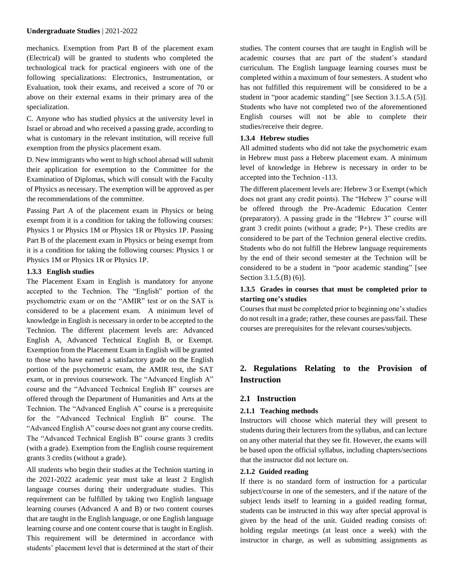mechanics. Exemption from Part B of the placement exam (Electrical) will be granted to students who completed the technological track for practical engineers with one of the following specializations: Electronics, Instrumentation, or Evaluation, took their exams, and received a score of 70 or above on their external exams in their primary area of the specialization.

C. Anyone who has studied physics at the university level in Israel or abroad and who received a passing grade, according to what is customary in the relevant institution, will receive full exemption from the physics placement exam.

D. New immigrants who went to high school abroad will submit their application for exemption to the Committee for the Examination of Diplomas, which will consult with the Faculty of Physics as necessary. The exemption will be approved as per the recommendations of the committee.

Passing Part A of the placement exam in Physics or being exempt from it is a condition for taking the following courses: Physics 1 or Physics 1M or Physics 1R or Physics 1P. Passing Part B of the placement exam in Physics or being exempt from it is a condition for taking the following courses: Physics 1 or Physics 1M or Physics 1R or Physics 1P.

#### **1.3.3 English studies**

The Placement Exam in English is mandatory for anyone accepted to the Technion. The "English" portion of the psychometric exam or on the "AMIR" test or on the SAT is considered to be a placement exam. A minimum level of knowledge in English is necessary in order to be accepted to the Technion. The different placement levels are: Advanced English A, Advanced Technical English B, or Exempt. Exemption from the Placement Exam in English will be granted to those who have earned a satisfactory grade on the English portion of the psychometric exam, the AMIR test, the SAT exam, or in previous coursework. The "Advanced English A" course and the "Advanced Technical English B" courses are offered through the Department of Humanities and Arts at the Technion. The "Advanced English A" course is a prerequisite for the "Advanced Technical English B" course. The "Advanced English A" course does not grant any course credits. The "Advanced Technical English B" course grants 3 credits (with a grade). Exemption from the English course requirement grants 3 credits (without a grade).

All students who begin their studies at the Technion starting in the 2021-2022 academic year must take at least 2 English language courses during their undergraduate studies. This requirement can be fulfilled by taking two English language learning courses (Advanced A and B) or two content courses that are taught in the English language, or one English language learning course and one content course that is taught in English. This requirement will be determined in accordance with students' placement level that is determined at the start of their studies. The content courses that are taught in English will be academic courses that are part of the student's standard curriculum. The English language learning courses must be completed within a maximum of four semesters. A student who has not fulfilled this requirement will be considered to be a student in "poor academic standing" [see Section 3.1.5.A (5)]. Students who have not completed two of the aforementioned English courses will not be able to complete their studies/receive their degree.

#### **1.3.4 Hebrew studies**

All admitted students who did not take the psychometric exam in Hebrew must pass a Hebrew placement exam. A minimum level of knowledge in Hebrew is necessary in order to be accepted into the Technion -113.

The different placement levels are: Hebrew 3 or Exempt (which does not grant any credit points). The "Hebrew 3" course will be offered through the Pre-Academic Education Center (preparatory). A passing grade in the "Hebrew 3" course will grant 3 credit points (without a grade; P+). These credits are considered to be part of the Technion general elective credits. Students who do not fulfill the Hebrew language requirements by the end of their second semester at the Technion will be considered to be a student in "poor academic standing" [see Section 3.1.5.(B) (6)].

## **1.3.5 Grades in courses that must be completed prior to starting one's studies**

Courses that must be completed prior to beginning one's studies do not result in a grade; rather, these courses are pass/fail. These courses are prerequisites for the relevant courses/subjects.

# **2. Regulations Relating to the Provision of Instruction**

## **2.1 Instruction**

## **2.1.1 Teaching methods**

Instructors will choose which material they will present to students during their lecturers from the syllabus, and can lecture on any other material that they see fit. However, the exams will be based upon the official syllabus, including chapters/sections that the instructor did not lecture on.

#### **2.1.2 Guided reading**

If there is no standard form of instruction for a particular subject/course in one of the semesters, and if the nature of the subject lends itself to learning in a guided reading format, students can be instructed in this way after special approval is given by the head of the unit. Guided reading consists of: holding regular meetings (at least once a week) with the instructor in charge, as well as submitting assignments as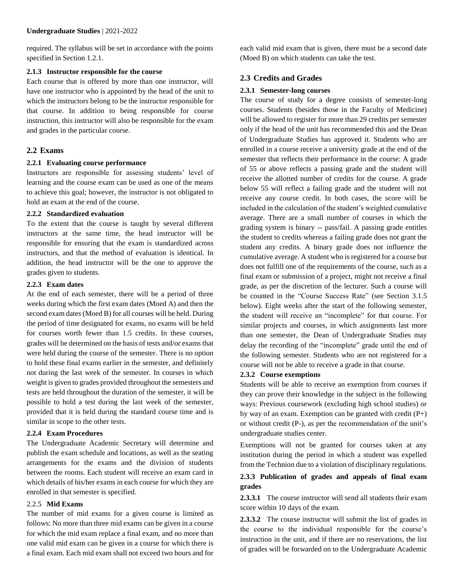required. The syllabus will be set in accordance with the points specified in Section 1.2.1.

## **2.1.3 Instructor responsible for the course**

Each course that is offered by more than one instructor, will have one instructor who is appointed by the head of the unit to which the instructors belong to be the instructor responsible for that course. In addition to being responsible for course instruction, this instructor will also be responsible for the exam and grades in the particular course.

## **2.2 Exams**

## **2.2.1 Evaluating course performance**

Instructors are responsible for assessing students' level of learning and the course exam can be used as one of the means to achieve this goal; however, the instructor is not obligated to hold an exam at the end of the course.

## **2.2.2 Standardized evaluation**

To the extent that the course is taught by several different instructors at the same time, the head instructor will be responsible for ensuring that the exam is standardized across instructors, and that the method of evaluation is identical. In addition, the head instructor will be the one to approve the grades given to students.

## **2.2.3 Exam dates**

At the end of each semester, there will be a period of three weeks during which the first exam dates (Moed A) and then the second exam dates (Moed B) for all courses will be held. During the period of time designated for exams, no exams will be held for courses worth fewer than 1.5 credits. In these courses, grades will be determined on the basis of tests and/or exams that were held during the course of the semester. There is no option to hold these final exams earlier in the semester, and definitely not during the last week of the semester. In courses in which weight is given to grades provided throughout the semesters and tests are held throughout the duration of the semester, it will be possible to hold a test during the last week of the semester, provided that it is held during the standard course time and is similar in scope to the other tests.

## **2.2.4 Exam Procedures**

The Undergraduate Academic Secretary will determine and publish the exam schedule and locations, as well as the seating arrangements for the exams and the division of students between the rooms. Each student will receive an exam card in which details of his/her exams in each course for which they are enrolled in that semester is specified.

## 2.2.5 **Mid Exams**

The number of mid exams for a given course is limited as follows: No more than three mid exams can be given in a course for which the mid exam replace a final exam, and no more than one valid mid exam can be given in a course for which there is a final exam. Each mid exam shall not exceed two hours and for each valid mid exam that is given, there must be a second date (Moed B) on which students can take the test.

## **2.3 Credits and Grades**

## **2.3.1 Semester-long courses**

The course of study for a degree consists of semester-long courses. Students (besides those in the Faculty of Medicine) will be allowed to register for more than 29 credits per semester only if the head of the unit has recommended this and the Dean of Undergraduate Studies has approved it. Students who are enrolled in a course receive a university grade at the end of the semester that reflects their performance in the course: A grade of 55 or above reflects a passing grade and the student will receive the allotted number of credits for the course. A grade below 55 will reflect a failing grade and the student will not receive any course credit. In both cases, the score will be included in the calculation of the student's weighted cumulative average. There are a small number of courses in which the grading system is binary -- pass/fail. A passing grade entitles the student to credits whereas a failing grade does not grant the student any credits. A binary grade does not influence the cumulative average. A student who is registered for a course but does not fulfill one of the requirements of the course, such as a final exam or submission of a project, might not receive a final grade, as per the discretion of the lecturer. Such a course will be counted in the "Course Success Rate" (see Section 3.1.5 below). Eight weeks after the start of the following semester, the student will receive an "incomplete" for that course. For similar projects and courses, in which assignments last more than one semester, the Dean of Undergraduate Studies may delay the recording of the "incomplete" grade until the end of the following semester. Students who are not registered for a course will not be able to receive a grade in that course.

## **2.3.2 Course exemptions**

Students will be able to receive an exemption from courses if they can prove their knowledge in the subject in the following ways: Previous coursework (excluding high school studies) or by way of an exam. Exemption can be granted with credit  $(P+)$ or without credit (P-), as per the recommendation of the unit's undergraduate studies center.

Exemptions will not be granted for courses taken at any institution during the period in which a student was expelled from the Technion due to a violation of disciplinary regulations.

## **2.3.3 Publication of grades and appeals of final exam grades**

**2.3.3.1** The course instructor will send all students their exam score within 10 days of the exam.

**2.3.3.2** The course instructor will submit the list of grades in the course to the individual responsible for the course's instruction in the unit, and if there are no reservations, the list of grades will be forwarded on to the Undergraduate Academic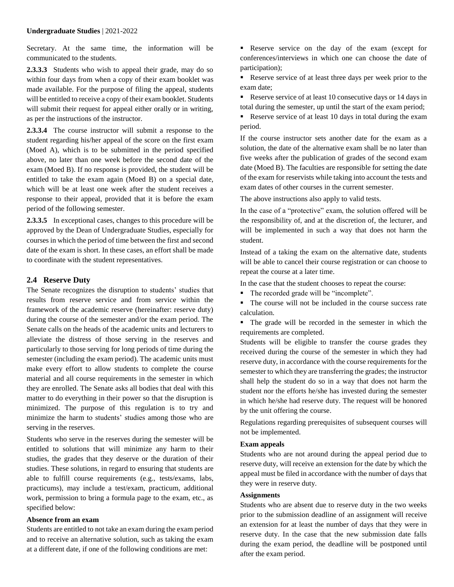Secretary. At the same time, the information will be communicated to the students.

**2.3.3.3** Students who wish to appeal their grade, may do so within four days from when a copy of their exam booklet was made available. For the purpose of filing the appeal, students will be entitled to receive a copy of their exam booklet. Students will submit their request for appeal either orally or in writing, as per the instructions of the instructor.

**2.3.3.4** The course instructor will submit a response to the student regarding his/her appeal of the score on the first exam (Moed A), which is to be submitted in the period specified above, no later than one week before the second date of the exam (Moed B). If no response is provided, the student will be entitled to take the exam again (Moed B) on a special date, which will be at least one week after the student receives a response to their appeal, provided that it is before the exam period of the following semester.

**2.3.3.5** In exceptional cases, changes to this procedure will be approved by the Dean of Undergraduate Studies, especially for courses in which the period of time between the first and second date of the exam is short. In these cases, an effort shall be made to coordinate with the student representatives.

#### **2.4 Reserve Duty**

The Senate recognizes the disruption to students' studies that results from reserve service and from service within the framework of the academic reserve (hereinafter: reserve duty) during the course of the semester and/or the exam period. The Senate calls on the heads of the academic units and lecturers to alleviate the distress of those serving in the reserves and particularly to those serving for long periods of time during the semester (including the exam period). The academic units must make every effort to allow students to complete the course material and all course requirements in the semester in which they are enrolled. The Senate asks all bodies that deal with this matter to do everything in their power so that the disruption is minimized. The purpose of this regulation is to try and minimize the harm to students' studies among those who are serving in the reserves.

Students who serve in the reserves during the semester will be entitled to solutions that will minimize any harm to their studies, the grades that they deserve or the duration of their studies. These solutions, in regard to ensuring that students are able to fulfill course requirements (e.g., tests/exams, labs, practicums), may include a test/exam, practicum, additional work, permission to bring a formula page to the exam, etc., as specified below:

#### **Absence from an exam**

Students are entitled to not take an exam during the exam period and to receive an alternative solution, such as taking the exam at a different date, if one of the following conditions are met:

Reserve service on the day of the exam (except for conferences/interviews in which one can choose the date of participation);

Reserve service of at least three days per week prior to the exam date;

Reserve service of at least 10 consecutive days or 14 days in total during the semester, up until the start of the exam period;

Reserve service of at least 10 days in total during the exam period.

If the course instructor sets another date for the exam as a solution, the date of the alternative exam shall be no later than five weeks after the publication of grades of the second exam date (Moed B). The faculties are responsible for setting the date of the exam for reservists while taking into account the tests and exam dates of other courses in the current semester.

The above instructions also apply to valid tests.

In the case of a "protective" exam, the solution offered will be the responsibility of, and at the discretion of, the lecturer, and will be implemented in such a way that does not harm the student.

Instead of a taking the exam on the alternative date, students will be able to cancel their course registration or can choose to repeat the course at a later time.

In the case that the student chooses to repeat the course:

- The recorded grade will be "incomplete".
- The course will not be included in the course success rate calculation.
- The grade will be recorded in the semester in which the requirements are completed.

Students will be eligible to transfer the course grades they received during the course of the semester in which they had reserve duty, in accordance with the course requirements for the semester to which they are transferring the grades; the instructor shall help the student do so in a way that does not harm the student nor the efforts he/she has invested during the semester in which he/she had reserve duty. The request will be honored by the unit offering the course.

Regulations regarding prerequisites of subsequent courses will not be implemented.

## **Exam appeals**

Students who are not around during the appeal period due to reserve duty, will receive an extension for the date by which the appeal must be filed in accordance with the number of days that they were in reserve duty.

#### **Assignments**

Students who are absent due to reserve duty in the two weeks prior to the submission deadline of an assignment will receive an extension for at least the number of days that they were in reserve duty. In the case that the new submission date falls during the exam period, the deadline will be postponed until after the exam period.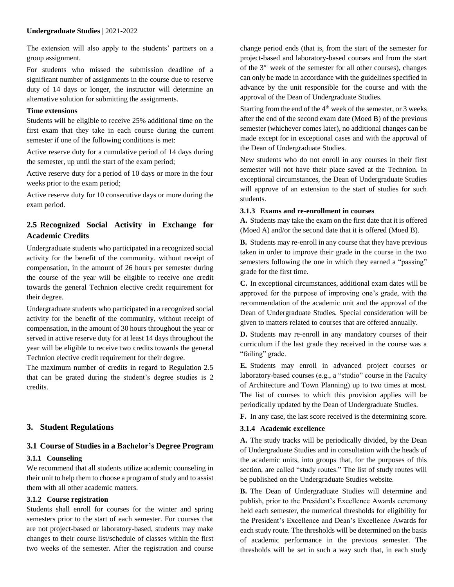The extension will also apply to the students' partners on a group assignment.

For students who missed the submission deadline of a significant number of assignments in the course due to reserve duty of 14 days or longer, the instructor will determine an alternative solution for submitting the assignments.

#### **Time extensions**

Students will be eligible to receive 25% additional time on the first exam that they take in each course during the current semester if one of the following conditions is met:

Active reserve duty for a cumulative period of 14 days during the semester, up until the start of the exam period;

Active reserve duty for a period of 10 days or more in the four weeks prior to the exam period;

Active reserve duty for 10 consecutive days or more during the exam period.

# **2.5 Recognized Social Activity in Exchange for Academic Credits**

Undergraduate students who participated in a recognized social activity for the benefit of the community. without receipt of compensation, in the amount of 26 hours per semester during the course of the year will be eligible to receive one credit towards the general Technion elective credit requirement for their degree.

Undergraduate students who participated in a recognized social activity for the benefit of the community, without receipt of compensation, in the amount of 30 hours throughout the year or served in active reserve duty for at least 14 days throughout the year will be eligible to receive two credits towards the general Technion elective credit requirement for their degree.

The maximum number of credits in regard to Regulation 2.5 that can be grated during the student's degree studies is 2 credits.

## **3. Student Regulations**

## **3.1 Course of Studies in a Bachelor's Degree Program**

## **3.1.1 Counseling**

We recommend that all students utilize academic counseling in their unit to help them to choose a program of study and to assist them with all other academic matters.

## **3.1.2 Course registration**

Students shall enroll for courses for the winter and spring semesters prior to the start of each semester. For courses that are not project-based or laboratory-based, students may make changes to their course list/schedule of classes within the first two weeks of the semester. After the registration and course change period ends (that is, from the start of the semester for project-based and laboratory-based courses and from the start of the 3rd week of the semester for all other courses), changes can only be made in accordance with the guidelines specified in advance by the unit responsible for the course and with the approval of the Dean of Undergraduate Studies.

Starting from the end of the  $4<sup>th</sup>$  week of the semester, or 3 weeks after the end of the second exam date (Moed B) of the previous semester (whichever comes later), no additional changes can be made except for in exceptional cases and with the approval of the Dean of Undergraduate Studies.

New students who do not enroll in any courses in their first semester will not have their place saved at the Technion. In exceptional circumstances, the Dean of Undergraduate Studies will approve of an extension to the start of studies for such students.

## **3.1.3 Exams and re-enrollment in courses**

**A.** Students may take the exam on the first date that it is offered (Moed A) and/or the second date that it is offered (Moed B).

**B.** Students may re-enroll in any course that they have previous taken in order to improve their grade in the course in the two semesters following the one in which they earned a "passing" grade for the first time.

**C.** In exceptional circumstances, additional exam dates will be approved for the purpose of improving one's grade, with the recommendation of the academic unit and the approval of the Dean of Undergraduate Studies. Special consideration will be given to matters related to courses that are offered annually.

**D.** Students may re-enroll in any mandatory courses of their curriculum if the last grade they received in the course was a "failing" grade.

**E.** Students may enroll in advanced project courses or laboratory-based courses (e.g., a "studio" course in the Faculty of Architecture and Town Planning) up to two times at most. The list of courses to which this provision applies will be periodically updated by the Dean of Undergraduate Studies.

**F.** In any case, the last score received is the determining score.

## **3.1.4 Academic excellence**

**A.** The study tracks will be periodically divided, by the Dean of Undergraduate Studies and in consultation with the heads of the academic units, into groups that, for the purposes of this section, are called "study routes." The list of study routes will be published on the Undergraduate Studies website.

**B.** The Dean of Undergraduate Studies will determine and publish, prior to the President's Excellence Awards ceremony held each semester, the numerical thresholds for eligibility for the President's Excellence and Dean's Excellence Awards for each study route. The thresholds will be determined on the basis of academic performance in the previous semester. The thresholds will be set in such a way such that, in each study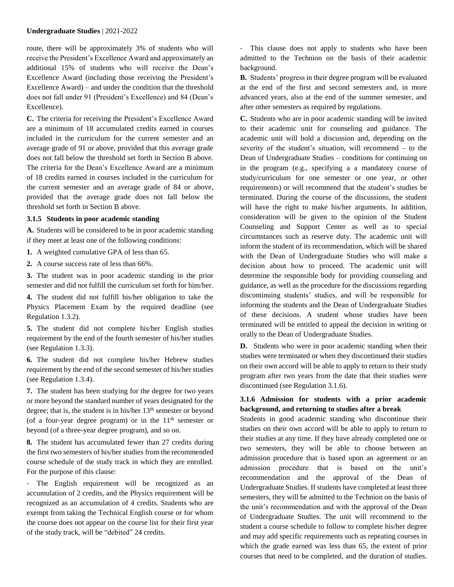route, there will be approximately 3% of students who will receive the President's Excellence Award and approximately an additional 15% of students who will receive the Dean's Excellence Award (including those receiving the President's Excellence Award) – and under the condition that the threshold does not fall under 91 (President's Excellence) and 84 (Dean's Excellence).

**C.** The criteria for receiving the President's Excellence Award are a minimum of 18 accumulated credits earned in courses included in the curriculum for the current semester and an average grade of 91 or above, provided that this average grade does not fall below the threshold set forth in Section B above. The criteria for the Dean's Excellence Award are a minimum of 18 credits earned in courses included in the curriculum for the current semester and an average grade of 84 or above, provided that the average grade does not fall below the threshold set forth in Section B above.

#### **3.1.5 Students in poor academic standing**

**A.** Students will be considered to be in poor academic standing if they meet at least one of the following conditions:

**1.** A weighted cumulative GPA of less than 65.

**2.** A course success rate of less than 66%.

**3.** The student was in poor academic standing in the prior semester and did not fulfill the curriculum set forth for him/her.

**4.** The student did not fulfill his/her obligation to take the Physics Placement Exam by the required deadline (see Regulation 1.3.2).

**5.** The student did not complete his/her English studies requirement by the end of the fourth semester of his/her studies (see Regulation 1.3.3).

**6.** The student did not complete his/her Hebrew studies requirement by the end of the second semester of his/her studies (see Regulation 1.3.4).

**7.** The student has been studying for the degree for two years or more beyond the standard number of years designated for the degree; that is, the student is in his/her  $13<sup>th</sup>$  semester or beyond (of a four-year degree program) or in the  $11<sup>th</sup>$  semester or beyond (of a three-year degree program), and so on.

**8.** The student has accumulated fewer than 27 credits during the first two semesters of his/her studies from the recommended course schedule of the study track in which they are enrolled. For the purpose of this clause:

- The English requirement will be recognized as an accumulation of 2 credits, and the Physics requirement will be recognized as an accumulation of 4 credits. Students who are exempt from taking the Technical English course or for whom the course does not appear on the course list for their first year of the study track, will be "debited" 24 credits.

- This clause does not apply to students who have been admitted to the Technion on the basis of their academic background.

**B.** Students' progress in their degree program will be evaluated at the end of the first and second semesters and, in more advanced years, also at the end of the summer semester, and after other semesters as required by regulations.

**C.** Students who are in poor academic standing will be invited to their academic unit for counseling and guidance. The academic unit will hold a discussion and, depending on the severity of the student's situation, will recommend – to the Dean of Undergraduate Studies – conditions for continuing on in the program (e.g., specifying a a mandatory course of study/curriculum for one semester or one year, or other requirements) or will recommend that the student's studies be terminated. During the course of the discussions, the student will have the right to make his/her arguments. In addition, consideration will be given to the opinion of the Student Counseling and Support Center as well as to special circumstances such as reserve duty. The academic unit will inform the student of its recommendation, which will be shared with the Dean of Undergraduate Studies who will make a decision about how to proceed. The academic unit will determine the responsible body for providing counseling and guidance, as well as the procedure for the discussions regarding discontinuing students' studies, and will be responsible for informing the students and the Dean of Undergraduate Studies of these decisions. A student whose studies have been terminated will be entitled to appeal the decision in writing or orally to the Dean of Undergraduate Studies.

**D.** Students who were in poor academic standing when their studies were terminated or when they discontinued their studies on their own accord will be able to apply to return to their study program after two years from the date that their studies were discontinued (see Regulation 3.1.6).

## **3.1.6 Admission for students with a prior academic background, and returning to studies after a break**

Students in good academic standing who discontinue their studies on their own accord will be able to apply to return to their studies at any time. If they have already completed one or two semesters, they will be able to choose between an admission procedure that is based upon an agreement or an admission procedure that is based on the unit's recommendation and the approval of the Dean of Undergraduate Studies. If students have completed at least three semesters, they will be admitted to the Technion on the basis of the unit's recommendation and with the approval of the Dean of Undergraduate Studies. The unit will recommend to the student a course schedule to follow to complete his/her degree and may add specific requirements such as repeating courses in which the grade earned was less than 65, the extent of prior courses that need to be completed, and the duration of studies.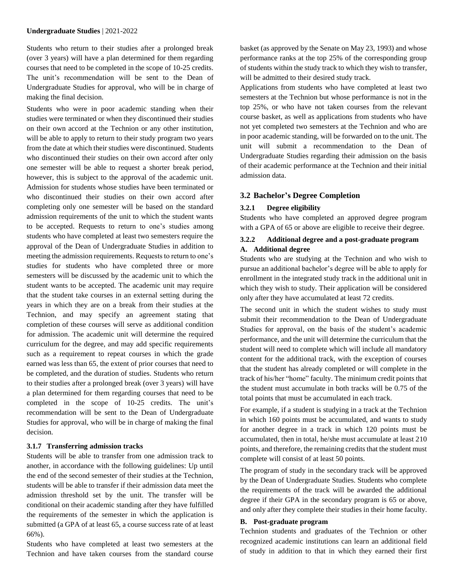Students who return to their studies after a prolonged break (over 3 years) will have a plan determined for them regarding courses that need to be completed in the scope of 10-25 credits. The unit's recommendation will be sent to the Dean of Undergraduate Studies for approval, who will be in charge of making the final decision.

Students who were in poor academic standing when their studies were terminated or when they discontinued their studies on their own accord at the Technion or any other institution, will be able to apply to return to their study program two years from the date at which their studies were discontinued. Students who discontinued their studies on their own accord after only one semester will be able to request a shorter break period, however, this is subject to the approval of the academic unit. Admission for students whose studies have been terminated or who discontinued their studies on their own accord after completing only one semester will be based on the standard admission requirements of the unit to which the student wants to be accepted. Requests to return to one's studies among students who have completed at least two semesters require the approval of the Dean of Undergraduate Studies in addition to meeting the admission requirements. Requests to return to one's studies for students who have completed three or more semesters will be discussed by the academic unit to which the student wants to be accepted. The academic unit may require that the student take courses in an external setting during the years in which they are on a break from their studies at the Technion, and may specify an agreement stating that completion of these courses will serve as additional condition for admission. The academic unit will determine the required curriculum for the degree, and may add specific requirements such as a requirement to repeat courses in which the grade earned was less than 65, the extent of prior courses that need to be completed, and the duration of studies. Students who return to their studies after a prolonged break (over 3 years) will have a plan determined for them regarding courses that need to be completed in the scope of 10-25 credits. The unit's recommendation will be sent to the Dean of Undergraduate Studies for approval, who will be in charge of making the final decision.

#### **3.1.7 Transferring admission tracks**

Students will be able to transfer from one admission track to another, in accordance with the following guidelines: Up until the end of the second semester of their studies at the Technion, students will be able to transfer if their admission data meet the admission threshold set by the unit. The transfer will be conditional on their academic standing after they have fulfilled the requirements of the semester in which the application is submitted (a GPA of at least 65, a course success rate of at least 66%).

Students who have completed at least two semesters at the Technion and have taken courses from the standard course basket (as approved by the Senate on May 23, 1993) and whose performance ranks at the top 25% of the corresponding group of students within the study track to which they wish to transfer, will be admitted to their desired study track.

Applications from students who have completed at least two semesters at the Technion but whose performance is not in the top 25%, or who have not taken courses from the relevant course basket, as well as applications from students who have not yet completed two semesters at the Technion and who are in poor academic standing, will be forwarded on to the unit. The unit will submit a recommendation to the Dean of Undergraduate Studies regarding their admission on the basis of their academic performance at the Technion and their initial admission data.

#### **3.2 Bachelor's Degree Completion**

#### **3.2.1 Degree eligibility**

Students who have completed an approved degree program with a GPA of 65 or above are eligible to receive their degree.

# **3.2.2 Additional degree and a post-graduate program**

## **A. Additional degree**

Students who are studying at the Technion and who wish to pursue an additional bachelor's degree will be able to apply for enrollment in the integrated study track in the additional unit in which they wish to study. Their application will be considered only after they have accumulated at least 72 credits.

The second unit in which the student wishes to study must submit their recommendation to the Dean of Undergraduate Studies for approval, on the basis of the student's academic performance, and the unit will determine the curriculum that the student will need to complete which will include all mandatory content for the additional track, with the exception of courses that the student has already completed or will complete in the track of his/her "home" faculty. The minimum credit points that the student must accumulate in both tracks will be 0.75 of the total points that must be accumulated in each track.

For example, if a student is studying in a track at the Technion in which 160 points must be accumulated, and wants to study for another degree in a track in which 120 points must be accumulated, then in total, he/she must accumulate at least 210 points, and therefore, the remaining credits that the student must complete will consist of at least 50 points.

The program of study in the secondary track will be approved by the Dean of Undergraduate Studies. Students who complete the requirements of the track will be awarded the additional degree if their GPA in the secondary program is 65 or above, and only after they complete their studies in their home faculty.

#### **B. Post-graduate program**

Technion students and graduates of the Technion or other recognized academic institutions can learn an additional field of study in addition to that in which they earned their first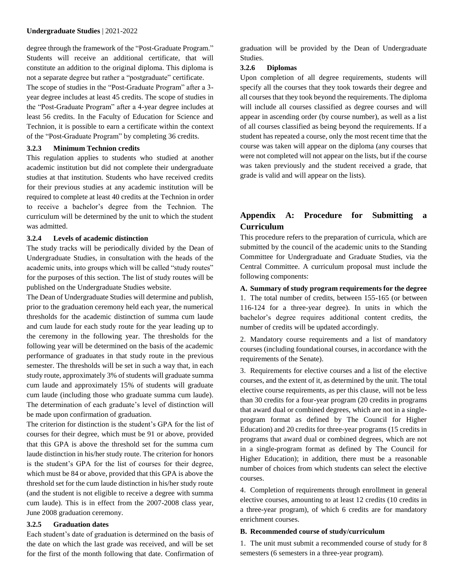degree through the framework of the "Post-Graduate Program." Students will receive an additional certificate, that will constitute an addition to the original diploma. This diploma is not a separate degree but rather a "postgraduate" certificate. The scope of studies in the "Post-Graduate Program" after a 3 year degree includes at least 45 credits. The scope of studies in the "Post-Graduate Program" after a 4-year degree includes at least 56 credits. In the Faculty of Education for Science and Technion, it is possible to earn a certificate within the context of the "Post-Graduate Program" by completing 36 credits.

#### **3.2.3 Minimum Technion credits**

This regulation applies to students who studied at another academic institution but did not complete their undergraduate studies at that institution. Students who have received credits for their previous studies at any academic institution will be required to complete at least 40 credits at the Technion in order to receive a bachelor's degree from the Technion. The curriculum will be determined by the unit to which the student was admitted.

#### **3.2.4 Levels of academic distinction**

The study tracks will be periodically divided by the Dean of Undergraduate Studies, in consultation with the heads of the academic units, into groups which will be called "study routes" for the purposes of this section. The list of study routes will be published on the Undergraduate Studies website.

The Dean of Undergraduate Studies will determine and publish, prior to the graduation ceremony held each year, the numerical thresholds for the academic distinction of summa cum laude and cum laude for each study route for the year leading up to the ceremony in the following year. The thresholds for the following year will be determined on the basis of the academic performance of graduates in that study route in the previous semester. The thresholds will be set in such a way that, in each study route, approximately 3% of students will graduate summa cum laude and approximately 15% of students will graduate cum laude (including those who graduate summa cum laude). The determination of each graduate's level of distinction will be made upon confirmation of graduation.

The criterion for distinction is the student's GPA for the list of courses for their degree, which must be 91 or above, provided that this GPA is above the threshold set for the summa cum laude distinction in his/her study route. The criterion for honors is the student's GPA for the list of courses for their degree, which must be 84 or above, provided that this GPA is above the threshold set for the cum laude distinction in his/her study route (and the student is not eligible to receive a degree with summa cum laude). This is in effect from the 2007-2008 class year, June 2008 graduation ceremony.

#### **3.2.5 Graduation dates**

Each student's date of graduation is determined on the basis of the date on which the last grade was received, and will be set for the first of the month following that date. Confirmation of graduation will be provided by the Dean of Undergraduate Studies.

#### **3.2.6 Diplomas**

Upon completion of all degree requirements, students will specify all the courses that they took towards their degree and all courses that they took beyond the requirements. The diploma will include all courses classified as degree courses and will appear in ascending order (by course number), as well as a list of all courses classified as being beyond the requirements. If a student has repeated a course, only the most recent time that the course was taken will appear on the diploma (any courses that were not completed will not appear on the lists, but if the course was taken previously and the student received a grade, that grade is valid and will appear on the lists).

# **Appendix A: Procedure for Submitting a Curriculum**

This procedure refers to the preparation of curricula, which are submitted by the council of the academic units to the Standing Committee for Undergraduate and Graduate Studies, via the Central Committee. A curriculum proposal must include the following components:

#### **A. Summary of study program requirements for the degree**

1. The total number of credits, between 155-165 (or between 116-124 for a three-year degree). In units in which the bachelor's degree requires additional content credits, the number of credits will be updated accordingly.

2. Mandatory course requirements and a list of mandatory courses (including foundational courses, in accordance with the requirements of the Senate).

3. Requirements for elective courses and a list of the elective courses, and the extent of it, as determined by the unit. The total elective course requirements, as per this clause, will not be less than 30 credits for a four-year program (20 credits in programs that award dual or combined degrees, which are not in a singleprogram format as defined by The Council for Higher Education) and 20 credits for three-year programs (15 credits in programs that award dual or combined degrees, which are not in a single-program format as defined by The Council for Higher Education); in addition, there must be a reasonable number of choices from which students can select the elective courses.

4. Completion of requirements through enrollment in general elective courses, amounting to at least 12 credits (10 credits in a three-year program), of which 6 credits are for mandatory enrichment courses.

#### **B. Recommended course of study/curriculum**

1. The unit must submit a recommended course of study for 8 semesters (6 semesters in a three-year program).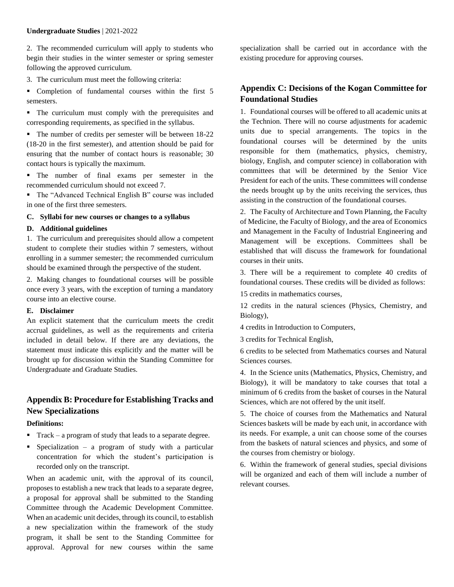2. The recommended curriculum will apply to students who begin their studies in the winter semester or spring semester following the approved curriculum.

3. The curriculum must meet the following criteria:

 Completion of fundamental courses within the first 5 semesters.

 The curriculum must comply with the prerequisites and corresponding requirements, as specified in the syllabus.

• The number of credits per semester will be between 18-22 (18-20 in the first semester), and attention should be paid for ensuring that the number of contact hours is reasonable; 30 contact hours is typically the maximum.

 The number of final exams per semester in the recommended curriculum should not exceed 7.

 The "Advanced Technical English B" course was included in one of the first three semesters.

## **C. Syllabi for new courses or changes to a syllabus**

## **D. Additional guidelines**

1. The curriculum and prerequisites should allow a competent student to complete their studies within 7 semesters, without enrolling in a summer semester; the recommended curriculum should be examined through the perspective of the student.

2. Making changes to foundational courses will be possible once every 3 years, with the exception of turning a mandatory course into an elective course.

## **E. Disclaimer**

An explicit statement that the curriculum meets the credit accrual guidelines, as well as the requirements and criteria included in detail below. If there are any deviations, the statement must indicate this explicitly and the matter will be brought up for discussion within the Standing Committee for Undergraduate and Graduate Studies.

# **Appendix B: Procedure for Establishing Tracks and New Specializations**

## **Definitions:**

- Track a program of study that leads to a separate degree.
- Specialization a program of study with a particular concentration for which the student's participation is recorded only on the transcript.

When an academic unit, with the approval of its council, proposes to establish a new track that leads to a separate degree, a proposal for approval shall be submitted to the Standing Committee through the Academic Development Committee. When an academic unit decides, through its council, to establish a new specialization within the framework of the study program, it shall be sent to the Standing Committee for approval. Approval for new courses within the same specialization shall be carried out in accordance with the existing procedure for approving courses.

# **Appendix C: Decisions of the Kogan Committee for Foundational Studies**

1. Foundational courses will be offered to all academic units at the Technion. There will no course adjustments for academic units due to special arrangements. The topics in the foundational courses will be determined by the units responsible for them (mathematics, physics, chemistry, biology, English, and computer science) in collaboration with committees that will be determined by the Senior Vice President for each of the units. These committees will condense the needs brought up by the units receiving the services, thus assisting in the construction of the foundational courses.

2. The Faculty of Architecture and Town Planning, the Faculty of Medicine, the Faculty of Biology, and the area of Economics and Management in the Faculty of Industrial Engineering and Management will be exceptions. Committees shall be established that will discuss the framework for foundational courses in their units.

3. There will be a requirement to complete 40 credits of foundational courses. These credits will be divided as follows:

15 credits in mathematics courses,

12 credits in the natural sciences (Physics, Chemistry, and Biology),

4 credits in Introduction to Computers,

3 credits for Technical English,

6 credits to be selected from Mathematics courses and Natural Sciences courses.

4. In the Science units (Mathematics, Physics, Chemistry, and Biology), it will be mandatory to take courses that total a minimum of 6 credits from the basket of courses in the Natural Sciences, which are not offered by the unit itself.

5. The choice of courses from the Mathematics and Natural Sciences baskets will be made by each unit, in accordance with its needs. For example, a unit can choose some of the courses from the baskets of natural sciences and physics, and some of the courses from chemistry or biology.

6. Within the framework of general studies, special divisions will be organized and each of them will include a number of relevant courses.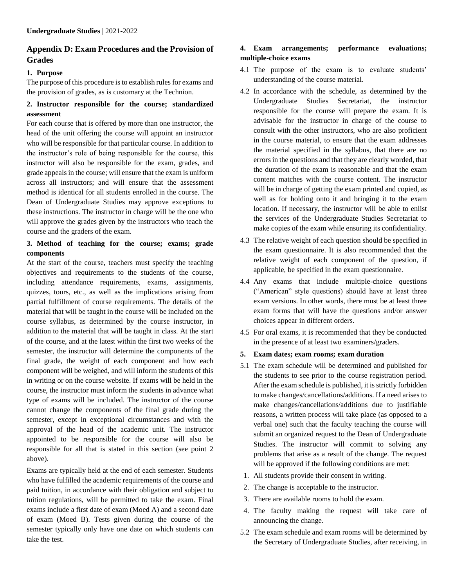# **Appendix D: Exam Procedures and the Provision of Grades**

## **1. Purpose**

The purpose of this procedure is to establish rules for exams and the provision of grades, as is customary at the Technion.

## **2. Instructor responsible for the course; standardized assessment**

For each course that is offered by more than one instructor, the head of the unit offering the course will appoint an instructor who will be responsible for that particular course. In addition to the instructor's role of being responsible for the course, this instructor will also be responsible for the exam, grades, and grade appeals in the course; will ensure that the exam is uniform across all instructors; and will ensure that the assessment method is identical for all students enrolled in the course. The Dean of Undergraduate Studies may approve exceptions to these instructions. The instructor in charge will be the one who will approve the grades given by the instructors who teach the course and the graders of the exam.

## **3. Method of teaching for the course; exams; grade components**

At the start of the course, teachers must specify the teaching objectives and requirements to the students of the course, including attendance requirements, exams, assignments, quizzes, tours, etc., as well as the implications arising from partial fulfillment of course requirements. The details of the material that will be taught in the course will be included on the course syllabus, as determined by the course instructor, in addition to the material that will be taught in class. At the start of the course, and at the latest within the first two weeks of the semester, the instructor will determine the components of the final grade, the weight of each component and how each component will be weighed, and will inform the students of this in writing or on the course website. If exams will be held in the course, the instructor must inform the students in advance what type of exams will be included. The instructor of the course cannot change the components of the final grade during the semester, except in exceptional circumstances and with the approval of the head of the academic unit. The instructor appointed to be responsible for the course will also be responsible for all that is stated in this section (see point 2 above).

Exams are typically held at the end of each semester. Students who have fulfilled the academic requirements of the course and paid tuition, in accordance with their obligation and subject to tuition regulations, will be permitted to take the exam. Final exams include a first date of exam (Moed A) and a second date of exam (Moed B). Tests given during the course of the semester typically only have one date on which students can take the test.

## **4. Exam arrangements; performance evaluations; multiple-choice exams**

- 4.1 The purpose of the exam is to evaluate students' understanding of the course material.
- 4.2 In accordance with the schedule, as determined by the Undergraduate Studies Secretariat, the instructor responsible for the course will prepare the exam. It is advisable for the instructor in charge of the course to consult with the other instructors, who are also proficient in the course material, to ensure that the exam addresses the material specified in the syllabus, that there are no errors in the questions and that they are clearly worded, that the duration of the exam is reasonable and that the exam content matches with the course content. The instructor will be in charge of getting the exam printed and copied, as well as for holding onto it and bringing it to the exam location. If necessary, the instructor will be able to enlist the services of the Undergraduate Studies Secretariat to make copies of the exam while ensuring its confidentiality.
- 4.3 The relative weight of each question should be specified in the exam questionnaire. It is also recommended that the relative weight of each component of the question, if applicable, be specified in the exam questionnaire.
- 4.4 Any exams that include multiple-choice questions ("American" style questions) should have at least three exam versions. In other words, there must be at least three exam forms that will have the questions and/or answer choices appear in different orders.
- 4.5 For oral exams, it is recommended that they be conducted in the presence of at least two examiners/graders.
- **5. Exam dates; exam rooms; exam duration**
- 5.1 The exam schedule will be determined and published for the students to see prior to the course registration period. After the exam schedule is published, it is strictly forbidden to make changes/cancellations/additions. If a need arises to make changes/cancellations/additions due to justifiable reasons, a written process will take place (as opposed to a verbal one) such that the faculty teaching the course will submit an organized request to the Dean of Undergraduate Studies. The instructor will commit to solving any problems that arise as a result of the change. The request will be approved if the following conditions are met:
- 1. All students provide their consent in writing.
- 2. The change is acceptable to the instructor.
- 3. There are available rooms to hold the exam.
- 4. The faculty making the request will take care of announcing the change.
- 5.2 The exam schedule and exam rooms will be determined by the Secretary of Undergraduate Studies, after receiving, in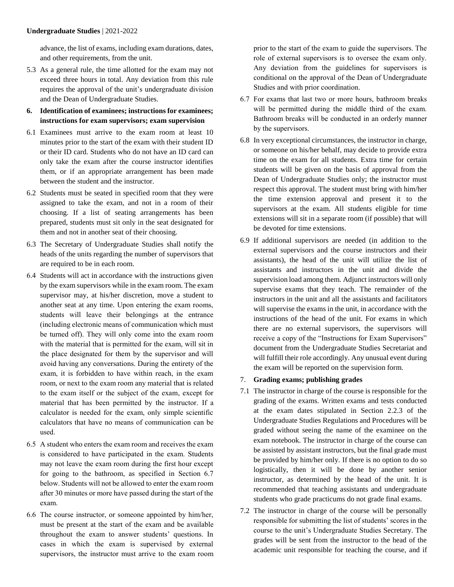advance, the list of exams, including exam durations, dates, and other requirements, from the unit.

- 5.3 As a general rule, the time allotted for the exam may not exceed three hours in total. Any deviation from this rule requires the approval of the unit's undergraduate division and the Dean of Undergraduate Studies.
- **6. Identification of examinees; instructions for examinees; instructions for exam supervisors; exam supervision**
- 6.1 Examinees must arrive to the exam room at least 10 minutes prior to the start of the exam with their student ID or their ID card. Students who do not have an ID card can only take the exam after the course instructor identifies them, or if an appropriate arrangement has been made between the student and the instructor.
- 6.2 Students must be seated in specified room that they were assigned to take the exam, and not in a room of their choosing. If a list of seating arrangements has been prepared, students must sit only in the seat designated for them and not in another seat of their choosing.
- 6.3 The Secretary of Undergraduate Studies shall notify the heads of the units regarding the number of supervisors that are required to be in each room.
- 6.4 Students will act in accordance with the instructions given by the exam supervisors while in the exam room. The exam supervisor may, at his/her discretion, move a student to another seat at any time. Upon entering the exam rooms, students will leave their belongings at the entrance (including electronic means of communication which must be turned off). They will only come into the exam room with the material that is permitted for the exam, will sit in the place designated for them by the supervisor and will avoid having any conversations. During the entirety of the exam, it is forbidden to have within reach, in the exam room, or next to the exam room any material that is related to the exam itself or the subject of the exam, except for material that has been permitted by the instructor. If a calculator is needed for the exam, only simple scientific calculators that have no means of communication can be used.
- 6.5 A student who enters the exam room and receives the exam is considered to have participated in the exam. Students may not leave the exam room during the first hour except for going to the bathroom, as specified in Section 6.7 below. Students will not be allowed to enter the exam room after 30 minutes or more have passed during the start of the exam.
- 6.6 The course instructor, or someone appointed by him/her, must be present at the start of the exam and be available throughout the exam to answer students' questions. In cases in which the exam is supervised by external supervisors, the instructor must arrive to the exam room

prior to the start of the exam to guide the supervisors. The role of external supervisors is to oversee the exam only. Any deviation from the guidelines for supervisors is conditional on the approval of the Dean of Undergraduate Studies and with prior coordination.

- 6.7 For exams that last two or more hours, bathroom breaks will be permitted during the middle third of the exam. Bathroom breaks will be conducted in an orderly manner by the supervisors.
- 6.8 In very exceptional circumstances, the instructor in charge, or someone on his/her behalf, may decide to provide extra time on the exam for all students. Extra time for certain students will be given on the basis of approval from the Dean of Undergraduate Studies only; the instructor must respect this approval. The student must bring with him/her the time extension approval and present it to the supervisors at the exam. All students eligible for time extensions will sit in a separate room (if possible) that will be devoted for time extensions.
- 6.9 If additional supervisors are needed (in addition to the external supervisors and the course instructors and their assistants), the head of the unit will utilize the list of assistants and instructors in the unit and divide the supervision load among them. Adjunct instructors will only supervise exams that they teach. The remainder of the instructors in the unit and all the assistants and facilitators will supervise the exams in the unit, in accordance with the instructions of the head of the unit. For exams in which there are no external supervisors, the supervisors will receive a copy of the "Instructions for Exam Supervisors" document from the Undergraduate Studies Secretariat and will fulfill their role accordingly. Any unusual event during the exam will be reported on the supervision form.
- 7. **Grading exams; publishing grades**
- 7.1 The instructor in charge of the course is responsible for the grading of the exams. Written exams and tests conducted at the exam dates stipulated in Section 2.2.3 of the Undergraduate Studies Regulations and Procedures will be graded without seeing the name of the examinee on the exam notebook. The instructor in charge of the course can be assisted by assistant instructors, but the final grade must be provided by him/her only. If there is no option to do so logistically, then it will be done by another senior instructor, as determined by the head of the unit. It is recommended that teaching assistants and undergraduate students who grade practicums do not grade final exams.
- 7.2 The instructor in charge of the course will be personally responsible for submitting the list of students' scores in the course to the unit's Undergraduate Studies Secretary. The grades will be sent from the instructor to the head of the academic unit responsible for teaching the course, and if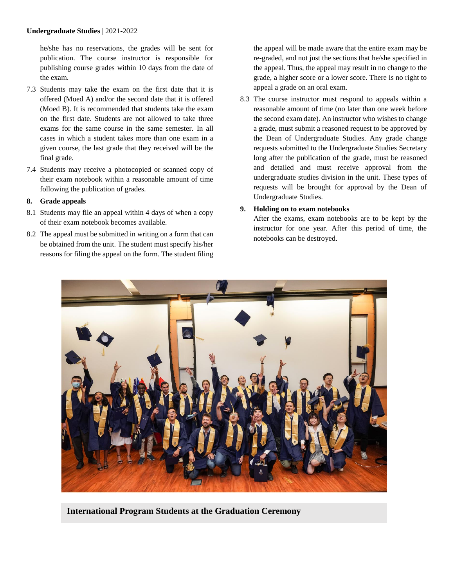he/she has no reservations, the grades will be sent for publication. The course instructor is responsible for publishing course grades within 10 days from the date of the exam.

- 7.3 Students may take the exam on the first date that it is offered (Moed A) and/or the second date that it is offered (Moed B). It is recommended that students take the exam on the first date. Students are not allowed to take three exams for the same course in the same semester. In all cases in which a student takes more than one exam in a given course, the last grade that they received will be the final grade.
- 7.4 Students may receive a photocopied or scanned copy of their exam notebook within a reasonable amount of time following the publication of grades.

## **8. Grade appeals**

- 8.1 Students may file an appeal within 4 days of when a copy of their exam notebook becomes available.
- 8.2 The appeal must be submitted in writing on a form that can be obtained from the unit. The student must specify his/her reasons for filing the appeal on the form. The student filing

the appeal will be made aware that the entire exam may be re-graded, and not just the sections that he/she specified in the appeal. Thus, the appeal may result in no change to the grade, a higher score or a lower score. There is no right to appeal a grade on an oral exam.

8.3 The course instructor must respond to appeals within a reasonable amount of time (no later than one week before the second exam date). An instructor who wishes to change a grade, must submit a reasoned request to be approved by the Dean of Undergraduate Studies. Any grade change requests submitted to the Undergraduate Studies Secretary long after the publication of the grade, must be reasoned and detailed and must receive approval from the undergraduate studies division in the unit. These types of requests will be brought for approval by the Dean of Undergraduate Studies.

## **9. Holding on to exam notebooks**

After the exams, exam notebooks are to be kept by the instructor for one year. After this period of time, the notebooks can be destroyed.



**International Program Students at the Graduation Ceremony**